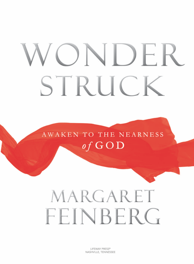# ONDER STRUCI

AWAKEN TO THE NEARNESS of  $GOD$ 

# MARGARET FEINBERG

LIFEWAY PRESS® NASHVILLE, TENNESSEE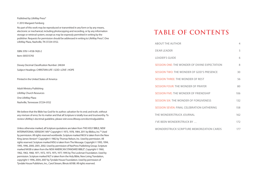Published by LifeWay Press®

© 2013 Margaret Feinberg

No part of this work may be reproduced or transmitted in any form or by any means, electronic or mechanical, including photocopying and recording, or by any information storage or retrieval system, except as may be expressly permitted in writing by the publisher. Requests for permission should be addressed in writing to LifeWay Press®, One LifeWay Plaza, Nashville, TN 37234-0152.

isbN: 978-1-4158-7420-2 item: 005515743 Dewey Decimal Classification Number: 248.84 Subject Headings: CHRISTIAN LIFE \ GOD-LOVE \ HOPE Printed in the United States of America Adult Ministry publishing LifeWay Church Resources One LifeWay Plaza Nashville, Tennessee 37234-0152

We believe that the bible has God for its author; salvation for its end; and truth, without any mixture of error, for its matter and that all Scripture is totally true and trustworthy. To review LifeWay's doctrinal guideline, please visit www.lifeway.com/doctrinalguideline.

Unless otherwise marked, all Scripture quotations are taken from THE HOLY BIBLE, NEW iNterNAtioNAL versioN®, Niv® copyright © 1973, 1978, 1984, 2011 by biblica, inc.™ used by permission. All rights reserved worldwide. scripture marked NkJv is taken from the New King James Version®. Copyright © 1982 by Thomas Nelson, Inc. Used by permission. All rights reserved. scripture marked MsG is taken from the Message. copyright © 1993, 1994, 1995, 1996, 2000, 2001, 2002. Used by permission of NavPress Publishing Group. Scripture marked NASB is taken from the NEW AMERICAN STANDARD BIBLE®, Copyright © 1960, 1962, 1963, 1968, 1971, 1972, 1973, 1975, 1977, 1995 by the Lockman Foundation. used by permission. Scripture marked NLT is taken from the Holy Bible, New Living Translation, copyright © 1996, 2004, 2007 by Tyndale House Foundation. Used by permission of tyndale house publishers, inc., carol stream, illinois 60188. All rights reserved.

# **TABLE OF CONTENTS**

| <b>ABOUT THE AUTHOR</b>                              | 4   |
|------------------------------------------------------|-----|
| <b>DEAR LEADER</b>                                   | 5   |
| <b>LEADER'S GUIDE</b>                                | 6   |
| <b>SESSION ONE: THE WONDER OF DIVINE EXPECTATION</b> | 8   |
| SESSION TWO: THE WONDER OF GOD'S PRESENCE            | 30  |
| <b>SESSION THREE: THE WONDER OF REST</b>             | 56  |
| <b>SESSION FOUR: THE WONDER OF PRAYER</b>            | 80  |
| <b>SESSION FIVE: THE WONDER OF FRIENDSHIP</b>        | 106 |
| <b>SESSION SIX: THE WONDER OF FORGIVENESS</b>        | 132 |
| <b>SESSION SEVEN: FINAL CELEBRATION GATHERING</b>    | 158 |
| THE WONDERSTRUCK JOURNAL                             | 162 |
| I'VE BEEN WONDERSTRUCK BY                            | 172 |
| WONDERSTRUCK SCRIPTURE MEMORIZATION CARDS            | 177 |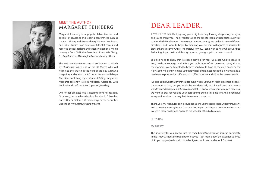

# Meet the Author **MARGARET FEINBERG**

Margaret Feinberg is a popular bible teacher and speaker at churches and leading conferences such as Catalyst, Thrive, and Extraordinary Women. Her books and bible studies have sold over 600,000 copies and received critical acclaim and extensive national media coverage from cNN, the Associated press, USA Today, Los Angeles Times, Washington Post, and many others.

she was recently named one of 50 Women to Watch by Christianity Today, one of the 30 Voices who will help lead the church in the next decade by Charisma magazine, and one of the '40 Under 40' who will shape christian publishing by Christian Retailing magazine. Margaret currently lives in Morrison, colorado, with her husband, Leif and their superpup, hershey.

One of her greatest joys is hearing from her readers. Go ahead, become her friend on Facebook, follow her on Twitter or Pinterest @mafeinberg, or check out her website at www.margaretfeinberg.com.

# **DEAR LEADER,**

I WANT TO BEGIN by giving you a big bear hug, looking deep into your eyes, and saying thank you. Thank you for taking the time to lead participants through this study called Wonderstruck. I know your time and energy are pulled in many different directions, and I want to begin by thanking you for your willingness to sacrifice to draw others closer to Christ. I'm grateful for you. I can't wait to hear what our Abba Father is going to do in and through you and your group in the weeks ahead.

You also need to know that I've been praying for you. I've asked God to speak to, lead, quide, encourage, and infuse you with more of His presence. I pray that in the moments you're tempted to believe you have to have all the right answers, the holy spirit will gently remind you that what's often most needed is a warm smile, a readiness to pray, and an offer to grab coffee together and allow the person to talk.

i've also asked God that over the upcoming weeks you won't just help others discover the wonder of God, but you would be wonderstruck, too. if you'll drop us a note at wonderstruck@margaretfeinberg.com and let us know when your group is meeting, we want to pray for you and your participants during this time. oh! And if you have any questions along the way, feel free to send those, too.

thank you, my friend, for being courageous enough to lead others christward. i can't wait to meet you and give you that bear hug in person. May you be wonderstruck and live even more awake and aware to the wonder of God all around.

## Blessings,

### **MARGARET**

This study invites you deeper into the trade book Wonderstruck. You can participate in the study without the trade book, but you'll get more out of the experience if you pick up a copy—(available in paperback, electronic, and audiobook formats).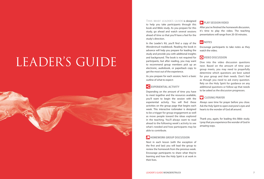# LEADER'S GUIDE



#### THIS BRIEF LEADER'S GUIDE is designed

to help you take participants through this book and bible study. As you prepare for this study, go ahead and watch several sessions ahead of time so that you'll have a feel for the study's direction.

In the Leader's Kit, you'll find a copy of the Wonderstruck tradebook. Reading the book in advance will help you prepare for leading the study and provide you with additional insights and background. The book is not required for participants, but after reading, you may want to recommend group members pick up an electronic, audiobook, or paperback copy to get the most out of the experience.

As you prepare for each session, here's a basic outline of what to expect:

## EXPERIENTIAL ACTIVITY

Depending on the amount of time you have to meet together and the resources available, you'll want to begin the session with the experiential activity. You will find these activities on the group page that begins each week. This interactive icebreaker is designed to be a trigger for group engagement as well as move people toward the ideas explored in the teaching. You'll always want to read ahead to the following week's activity to see what's needed and how participants may be able to contribute.

## **C** HOMEWORK GROUP DISCUSSION

Next in each lesson (with the exception of the first and last) you will lead the group to review the homework from the previous week. Encourage participants to share what they're learning and how the holy spirit is at work in their lives.

## **play SESSiOn viDEO**

After you've finished the homework discussion, it's time to play the video. The teaching presentations will range from 20-30 minutes.

## **66** NOTES

Encourage participants to take notes as they watch the video.

## *C* VIDEO DISCUSSION

Dive into the video discussion questions next. based on the amount of time your group meets, you may need to prayerfully determine which questions are best suited for your group and their needs. Don't feel as though you need to ask every question. Rely on the Holy Spirit for guidance on any additional questions or follow-up that needs to be asked as the discussion progresses.

## **CLOSING PRAYER**

Always save time for prayer before you close. Ask the holy spirit to open everyone's eyes and hearts to the wonder of God all around.

Thank you, again, for leading this Bible study. i pray that you experience the wonder of God in amazing ways.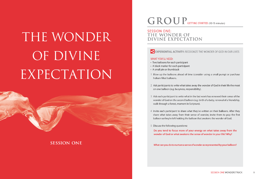# THE WONDER OF DIVINE EXPECTATION



# **SESSION ONE**

# **GROUP** GETTING STARTED: (10-15 minutes)

## **SESSION ONE:** THE WONDER OF **DIVINE EXPECTATION**

EXPERIENTIAL ACTIVITY: RECOGNIZE THE WONDER OF GOD IN OUR LIVES

#### **WHAT YOU'LL NEED:**

- Two balloons for each participant
- A black marker for each participant
- A small pin or thumbtack
- 1 Blow up the balloons ahead of time (consider using a small pump) or purchase helium filled balloons.
- 2 Ask participants to write what takes away the wonder of God in their life the most on one balloon (e.g. busyness, responsibility).
- 3 Ask each participant to write what in the last week has renewed their sense of the wonder of God on the second balloon (e.g. birth of a baby, renewal of a friendship, walk through a forest, moment in Scripture).
- 4 Invite each participant to share what they've written on their balloons. After they share what takes away from their sense of wonder, invite them to pop the first balloon so they're left holding the balloon that awakens the wonder of God.
- 5 Discuss the following questions:

Do you tend to focus more of your energy on what takes away from the wonder of God or what awakens the sense of wonder in your life? Why?

What can you do to nurture a sense of wonder as represented by your balloon?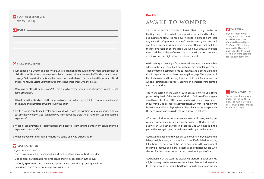## **PLAY THE SESSION ONE viDEO: [23:15]**

**66** NOTES

## **viDEO DISCUSSION**

- 1 turn to page 162. over the next six weeks, you'll be challenged to awaken even more to the presence of God in your life. one of the ways to do this is to make daily entries into the Wonderstruck Journal. on page 163, begin today by listing three moments in which you've encountered the wonder of God and His handiwork. Note your first three entries and share them with the group.
- 2 Which name of God listed in isaiah 9:6 is most familiar to you in your spiritual journey? Which is least familiar? Explain.
- 3 Why do you think God reveals his name as Wonderful? What do you think is communicated about the nature and character of God through this title?
- 4 invite a participant to read psalm 77:11 aloud. When was the last time you found yourself taken back by the wonder of God? What did you learn about the character or nature of God through the experience?
- 5 What disappointments or letdowns from the past or present tend to dampen any sense of divine expectation in your life?
- 6 What are you currently doing to nurture a sense of divine expectation?

## **CLOSING PRAYER**

As you close in prayer ask:

- God to awaken each person's heart, mind, and spirit to a sense of God's wonder
- God to grant participants a renewed sense of divine expectation in their lives
- the holy spirit to orchestrate divine opportunities over the upcoming weeks to experience God's presence and grow closer to him.

# **AWA K E TO WONDER**

I NEVER EXPECTED TO FIND love in Alaska. I only travelled to the tiny town of sitka to help my aunt with her bed and breakfast. but during one stay, i fell head over heels for a six-foot-eight local guy named Leif (pronounced Lay-f). Norwegian by descent, Leif and I were married just a little over a year after we first met. For the first five years of our marriage, we lived in Alaska. During that time I had the privilege of seeing the Northern Lights on countless evenings. but one night stood out above the rest.

## **THIS WEEK:**

if you are following along in the trade book, read chapters ".000: captured by the Night sky" and ".001: hidden Among the Highlands" and tackle the five days of homework to prepare for the next gathering.

While taking an overnight ferry from Sitka to Juneau, I remember admiring the faint moonlight backlighting the mountainous coast. Then something compelled me to look up, and a scene unfolded that I suspect caused at least one angel to gasp: The expanse of the sky transformed from inky blackness into an infinite canvas on which brushstrokes of apricot, sapphire, and emerald were painted into the night sky.

The hours passed. In the wake of such beauty, I offered up a silent prayer to lay hold of the wonder of God, to find myself once again awed by another facet of His nature, another glimpse of His presence in our world. God desires to captivate us not just with his handiwork but with himself—displaying facets of his character, igniting us with His fiery love, awakening us to the intensity of His holiness.

**BONUS ACTIVITY:** To see some breathtaking

images of the Northern Lights or Aurora borealis, search Google for "images of Northern Lights."

often such incidents occur when we least anticipate, leaving us wonderstruck much like my encounter with the Northern Lights. but we can live each day trusting that the God who met us in the past will once again greet us with arms wide open in the future.

God extends uncounted invitations to encounter him, yet too often I sleep straight through. Unconscious of the life God desires for me, i slumber in the presence of the sacred and snore in the company of the divine. Inactive and inert, I become a spiritual sleepyhead who clamors for the snooze button rather than climbing out of bed.

God is busting at the seams to display His glory, His power, and His might in a way that leaves us awestruck, breathless, and wide awake to his presence in our world. God longs for us to live awake to him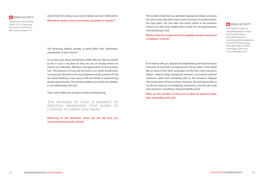

spend time committing psalm 77:11 to memory this week. You'll find a flash card on page 177.

## and all that he is doing in our world. indeed, our God is Wonderful.

**What three words come to mind when you think of "wonder"?** 

The wonder of God stirs our spiritual longings and makes us hungry for God in ways that often lead us into moments of transformation. Our eyes open. Our ears hear. Our hearts soften in the presence of God. Our wills more readily yield to God. Our worship becomes more pleasing to God.

**What are the two components of acceptable worship mentioned in Hebrews 12:28-29?** 

## **BONUS ACTIVITY:**

Rich Hammar captures astrophotography images from his driveway in Springfield, Missouri, using specialized equipment. some of his images have been featured on NAsA's homepage. check out www.seetheglory.com.

The dictionary defines wonder as being filled with "admiration, amazement, or awe; marvel."<sup>1</sup>

in so many ways, those are the fruits of life with God. We are created to live in such a way that our lives are acts of worship where we express our adoration, affection, and appreciation of God at every turn. The presence of God and His work in our world should leave us awestruck. Now let me be clear: Experiencing the wonder of God isn't about landing a crazy story to tell our friends or experiencing pimply goose bumps. The wonder awakens us to dive even deeper in our relationship with God.

That's why I define the wonder of God as the following:

The Wonder of God: A moment of spiritual awakening that makes us curious to know God more.

**Reflecting on this definition, when was the last time you encountered the wonder of God?** 

if i'm honest with you, despite the breathtaking and transformative moments of God that I've experienced, all too often I find myself like so many of the other passengers on the ferry that evening in Alaska—deep in sleep, missing the moment. i succumb to spiritual weariness rather than remaining alert to the wondrous displays that reveal more of God. in those moments, the burning bushes in my life are reduced to smoldering distractions, and the still small voice becomes something i absentmindedly shush.

**What are the wonders of God you've taken for granted rather than responding with awe?**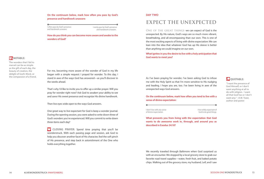**On the continuum below, mark how often you pass by God's presence and handiwork unaware:** 

I often pass by God's presence and handiwork unaware.

I rarely pass by God's presence and handiwork unaware.

**How do you think you can become more aware and awake to the wonders of God?** 

## *NOTABLE:*

The wonders that I fail to marvel can be as simple as the gift of each day, the beauty of creation, the delight of God's Word, or the compassion of a friend.

For me, becoming more aware of the wonder of God in my life began with a simple request: I prayed for wonder. To this day, I stand in awe of the ways God has answered—as you'll discover in the weeks ahead.

That's why I'd like to invite you to offer up a similar prayer. Will you pray for wonder right now? Ask God to awaken your ability to see and savor his sweet presence and recognize his divine handiwork.

Then live eyes wide open to the ways God answers.

one great way to live expectant for God is keep a wonder journal. During the opening session, you were asked to write down three of God's wonders you've experienced. Will you commit to write down three items each day?

 $\bullet$ **clOSing prayEr:** spend time praying that you'll be wonderstruck. With each passing page and session, ask God to help you discover another facet of His character, feel the soft pinch of His presence, and step back in astonishment of the One who holds everything together.

DAY TWO

# **EXPECT THE UNEXPECTED**

ONE OF THE GREAT THINGS we can expect of God is the unexpected. by his nature, God's ways are so much more vibrant, breathtaking, and all encompassing than our own. This is one of the most exciting aspects of living with divine expectation: We can lean into the idea that whatever God has up his sleeve is better than anything we could imagine on our own.

**What ignites in you the desire to live with a holy anticipation that God wants to meet you?** 

As i've been praying for wonder, i've been asking God to infuse me with the Holy Spirit so that I'm more sensitive to His nudging and leading. I hope you are, too. I've been living in awe of the unexpected ways God answers.



"i want the presence of God himself, or i don't want anything at all to do with religion. I want all that God has or i don't want any." – A.W. Tozer, author and pastor

**On the continuum below, mark how often you tend to live with a sense of divine expectation:** 

i don't live with any sense of divine expectation.

 i live wildly expectant of God to do great things.

**What prevents you from living with the expectation that God wants to do awesome work in, through, and around you as described in Exodus 34:10?** 

We recently traveled through Baltimore when God surprised us with an encounter. We stopped by a local grocery store to grab our favorite road travel supplies—water, fresh fruit, and baked potato chips. Walking out of the grocery store, my husband, Leif, and i saw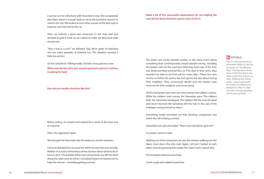a woman on her cell phone with three kids in tow. she complained that there weren't enough beds to serve the homeless women in need in the city. We looked at each other, unsure of the best way to respond, and returned to the car.

Then we noticed a quick eats restaurant in the strip mall and decided to grab a meal. As we waited to order, we discussed what we just saw.

"Was it real or a con?" we debated. Yep. We're guilty of watching one too many episodes of Dateline, too. The situation seemed a little too perfect.

On her cell phone. Talking loudly. Outside a busy grocery store.

**When was the last time you second-guessed a person's motives in asking for help?** 

**How do you handle situations like this?** 

before eating, we prayed and waited for a sense of the best way to respond.

Then. She appeared. Again.

she brought her three kids into the eatery to use the restroom.

Leif and i debated how to assist her and if we were the ones to help. Neither of us had a tremendous sense of peace about what to do or how to do it. The parable of the man whose body was left for dead along the road came to mind. I calculated dozens of reasons not to help the woman—including getting conned.

The priest and Levite (temple worker) in this story aren't doing something their contemporaries would consider wrong. Avoiding the beaten man on the road was following God's law. if the man was dead and they touched him, or if he died in their arms, they wouldn't be able to do their job for seven days. These two men choose to follow the purity law, but ignore the law about loving their neighbor. They consciously decide that the beaten man must not be their neighbor and move along.

**Make a list of five reasonable explanations for not helping the** 

**man left for dead along the road in Luke 10:29-37.**

Yet the Samaritan man is the one who reverses the robbers' actions. While the robbers took money, the Samaritan gave. The robbers beat, the Samaritan bandaged. The robbers left the man for dead and never returned; the samaritan left the man in the care of the innkeeper and promised to return.

something inside reminded me that showing compassion was worth the risk of being conned.

Leif pulled out cash and asked, "How much should we give her?"

A number came to mind.

Walking out of the restaurant, we saw the woman walking into the liquor store down the strip mall. Again, Leif and i looked at each other, second-guessing that maybe this wasn't such a good idea.

she emerged without a purchase.

i took a gulp and walked toward her.

# *NOTABLE:*

The 17-mile journey from Jerusalem down to Jericho is known as "The Bloody Way." The elevation drops from 2,500 feet above sea level to 825 feet below sea level. Walking the windy, steep, rocky road would be similar to walking in a dangerous alley in a big city with money dangling out of your pockets.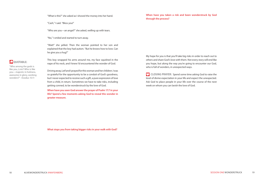"What is this?" she asked as i shoved the money into her hand.

"Cash," I said. "Bless you!"

"Who are you—an angel?" she asked, welling up with tears.

"No," i smiled and started to turn away.

"Wait!" she yelled. Then the woman pointed to her son and explained that the boy had autism. "But he knows how to love. Can he give you a hug?"

# **QUOTABLE:**

"Who among the gods is like you, LorD? Who is like you—majestic in holiness, awesome in glory, working wonders?" -Exodus 15:11

This boy wrapped his arms around me, my face squished in the nape of his neck, and i knew i'd encountered the wonder of God.

Driving away, Leif and i prayed for this woman and her children. i was so grateful for the opportunity to be a conduit of God's goodness, but I never expected to receive such a gift, a pure expression of love from a child, in return. sometimes we have to take risks, including getting conned, to be wonderstruck by the love of God.

**When have you seen God answer the prayer of Psalm 17:7 in your life? Spend a few moments asking God to reveal this wonder in greater measure.** 

**When have you taken a risk and been wonderstruck by God through the process?**

My hope for you is that you'll take big risks in order to reach out to others and share God's love with them. Not every story will end like you hope, but along the way you're going to encounter our God, who is full of wonders, in unexpected ways.

**CLOSING PRAYER:** Spend some time asking God to raise the level of divine expectation in your life and expect the unexpected. Ask God to place people in your life over the course of the next week on whom you can lavish the love of God.

**What stops you from taking bigger risks in your walk with God?**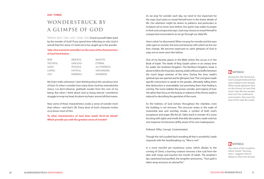#### DAY THREE

# **WONDERSTRUCK BY A GLIMPSE OF GOD**

WHEN WAS THE LAST TIME YOU found yourself taken back by the wonder of God? If you spend time reflecting on who God is and all that he's done, it's hard not to be caught up in the wonder.

## **Take a few moments and reflect on the some of the characteristics of God listed below:**

| WISE            | <b>MERCIFUL</b> | MAJESTIC          |
|-----------------|-----------------|-------------------|
| <b>TRUTHFUL</b> | <b>GRACIOUS</b> | FTFRNAL           |
| GOOD            | PEACFFUL        | ALI-POWEREUL      |
| LOVING          | FAITHFUL        | <b>UNCHANGING</b> |
| JUST            | <b>FMINFNCF</b> | SOVERFIGN         |

My heart melts whenever i start thinking about the wondrous love of God. or when i consider how many times God has extended the mercy I-so-don't-deserve, gratitude exudes from the core of my being. But when I think about God as being eternal I sometimes struggle to wrap my head, let alone my heart, around all that means.

Now some of these characteristics evoke a sense of wonder more than others—and that's ok. every facet of God's character invites us to know more of him.

**To what characteristics of God does Isaiah 40:25-26 allude? Which provide you with the greatest sense of wonder?** 

As we pray for wonder each day, we need to live expectant for the ways God wants to reveal Himself even in the tiniest details of life. Our attention might be drawn to patterns and particulars in Scripture we've never seen before. Our spirits may waken to prayer in fresh and unexpected ways. God may choose to reveal Himself in unexpected conversations as we go through our daily life.

here's what i've discovered: When we pray for wonder and live eyes wide open to wonder, the tone and tenacity with which we live our lives change. We become expectant to catch glimpses of God in ways we've never seen Him before.

one of my favorite places in the bible where this occurs is in the Book of Isaiah. The death of King Uzziah ushers in an uneasy time for Judah, the Southern Kingdom. The Northern Kingdom, Israel, is about to fall to the Assyrians, leaving Judah without a buffer between the much larger enemies of the time. During this time, Isaiah's spiritual eyes are opened and he glimpses God. The Lord gives Isaiah specific instructions to speak to the people, ultimately telling them that destruction is unavoidable, but promising them that healing is coming. The scene radiates the power, wonder, and majesty of God. Yet rather than focus on the beauty or radiance of the Divine, Isaiah is reduced to describing the garnishes of the room.

As the holiness of God echoes throughout the chamber, even the building is not immune. The structure seizes in the wake of reverential awe and worship; smoke, a symbol of both God's acceptance and anger, fills the air. Taken back in wonder of a scene bursting with sights and smells that defy description, isaiah only has one response: he becomes deftly aware of his own inadequacies.

polluted. Filthy. corrupt. contaminated.

Though the veil is pulled back revealing all that is wonderful, Isaiah responds with the heartbreaking cry, "Woe is me!"

in a most merciful yet mysterious scene, which alludes to the coming of christ, a burning creature removes a live coal from the altar with tongs and touches the mouth of Isaiah. The prophet's lips cauterized and purified, the seraphim announces, "Your quilt is taken away and your sin atoned for."

## **NOTABLE:**

During the Old Testament, God's people believed that God resided in the temple. When isaiah glimpses God on the throne, he sees that God's robe fills the temple. God can't be confined to one location. Not even the hem of His robe fits inside.

## **EN NOTABLE:**

The name of the seraphim, which means "burning ones," suggests they're ablaze in their love of God.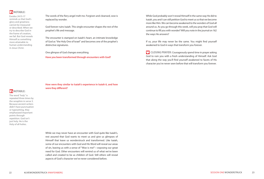## **IT NOTABLE:**

Exodus 24:15-17 reminds us that God's glory and greatness cannot be measured or described. When we try to describe God in the frame of creation, we fail. But God reveals himself as something more attainable to human understanding in Jesus christ.

The words of the fiery angel melt me. Forgiven and cleansed, woe is replaced by wonder.

God forever ruins Isaiah. This single encounter shapes the rest of the prophet's life and message.

The encounter is stamped on Isaiah's heart, an intimate knowledge of God as "the Holy One of Israel" and becomes one of the prophet's distinctive signatures.

one glimpse of God changes everything.

**Have you been transformed through encounters with God?**

While God probably won't reveal Himself in the same way He did to isaiah, you and i can still petition God to meet us so that we become more like him. We can become awakened to the wonders of God all around us. As you go through this week, will you pray that God will continue to fill you with wonder? Will you note in the journal on 162 the ways He answers?

If so, your life may never be the same. You might find yourself awakened to God in ways that transform you forever.

**CLOSING PRAYER: Courageously spend time in prayer asking** God to ruin you with a fresh understanding of himself. Ask God that along the way you'll find yourself awakened to facets of His character you've never seen before that will transform you forever.

**How were they similar to Isaiah's experience in Isaiah 6, and how were they different?**

The word "holy" is repeated three times by the seraphim in verse 3. because ancient writers didn't have punctuation or typesetting, they emphasized important points through repetition. God isn't just holy. He is the Holy of all holies.

**IT NOTABLE:** 

While we may never have an encounter with God quite like Isaiah's, rest assured that God wants to meet us and give us glimpses of himself that leave us wonderstruck and transformed. Like isaiah, some of our encounters with God and His Word will reveal our areas of sin, leaving us with a sense of "Woe is me!"—exposing our great need for God. other encounters will remind us of what we've been called and created to be as children of God. still others will reveal aspects of God's character we've never considered before.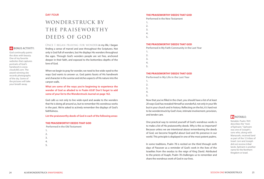### DAY FOUR

# **WONDERSTRUCK BY THE PR A ISEWORTHY DEEDS OF GOD**

**BONUS ACTIVITY:** 

God continually paints the skies with beauty. One of my favorite websites that captures portraits of God's handwork is www. clouds365.com. The award-winning site records photographs of the sky. some of the pictures will take your breath away.

## ONCE I BEGAN PRAYING FOR WONDER in my life, I began finding a sense of marvel and awe throughout the Scriptures. Not only is God full of wonders, but he displays his wonders throughout the ages. Through God's wonders people are set free, anchored deeper in their faith, and exposed to the bottomless depths of the love of God.

When we begin to pray for wonder, we need to live wide-eyed to the ways God wants to answer us. God paints facets of his handiwork and character in the sunrise and etches aspects of his nature into the canyon walls.

**What are some of the ways you're beginning to experience the wonder of God as alluded to in Psalm 65:8? Don't forget to add some of your list to the Wonderstruck Journal on page 162.** 

God calls us not only to live wide-eyed and awake to the wonders that He is doing all around us, but to remember His wondrous works in the past. We're asked to actively remember the displays of God's faithfulness.

**List the praiseworthy deeds of God in each of the following areas:** 

#### **THE PRAISEWORTHY DEEDS THAT GOD**

 **Performed in the Old Testament**

- **1.**
- **2.**
- **3.**
- **4.**
- **5.**

#### **THE PRAISEWORTHY DEEDS THAT GOD**

**Performed in the New Testament**

- **1.**
- **2. 3.** 
	-
- **4.**
- **5.**

#### **THE PRAISEWORTHY DEEDS THAT GOD**

**Performed in My Faith Community in the Last Year**

- **1.**
- **2.**
- **3.**
- **4.**
- **5.**

### **THE PRAISEWORTHY DEEDS THAT GOD**

**Performed in My Life in the Last Year**

- **1. 2.**
- **3.**
- **4.**
- **5.**

Now that you've filled in the chart, you should have a list of at least 20 ways God has revealed himself as wonderful, not only in your life but in your church and in history. Reflecting on the list, it's hard not to be wonderstruck by God's love, intimate involvement, provision, and tender care.

one practical way to remind yourself of God's wondrous works is to make a list of his praiseworthy deeds. Why is this so important? because unless we are intentional about remembering the deeds of God, we become forgetful about God and his presence in our world. This principle is displayed in one of the most potent psalms.

in some traditions, psalm 78 is recited on the third through sixth days of passover as a reminder of God's work in the lives of the israelites from the exodus to the reign of king David. Attributed to the priests of Asaph, Psalm 78 challenges us to remember and share the wondrous work of God in our lives.

# **ET NOTABLE:**

Notable: psalm 78:9 describes the "men of ephraim." ephraim was one of Joseph's sons who, along with Manasseh, received land as part of the 12 tribes of israel. Levi and Joseph did not receive tribal lands. Ephraim is another name for the Northern kingdom or israel.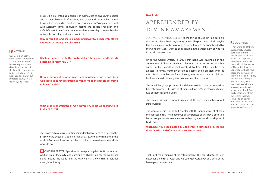psalm 78 is presented as a parable or mashal, not to give chronological and accurate historical information, but to remind the israelites about how God has worked in their lives over centuries. God's original covenant with Abraham comes to fruition despite the people's rebellion and unfaithfulness. psalm 78 encourages readers even today to remember the active role God plays and place trust in him.

**Why is recalling and sharing God's praiseworthy deeds with others important according to Psalm 78:1-8?** 

## **IT NOTABLE:**

our God is an active God. psalm 78 describes action after action of how God participated directly in the lives of the israelites throughout history. God doesn't sit back as a spectator, but protects, saves, creates, delivers, and leads.

**What can happen if we fail to recall and share these praiseworthy deeds according to Psalm 78:9-31?** 

**Despite the people's forgetfulness and hard-heartedness, how does God continue to reveal Himself as Wonderful to the people according to Psalm 78:32-55?** 

#### **What aspect or attribute of God leaves you most wonderstruck in Psalm 78:55-72?**

This powerful psalm is a beautiful reminder that we need to reflect on the praiseworthy deeds of God on a regular basis. And as we remember the work of God in our lives, we can't help but live more awake to the work he wants to do.

**CLOSING PRAYER: Spend some time praising God for His wondrous** work in your life, family, and community. Thank God for the work He's doing around the world and the way He has shown Himself faithful throughout history.

## DAY FIVE

# **APPREHENDED BY DIVINE AMAZEMENT**

FOR ME, GROWING SLEEPY to the things of God isn't an option. I don't want a faith that's dry, boring, or feels like punching a clock. Maybe that's one reason i've been praying so persistently to be apprehended by the wonder of God. I want to be caught up in the amazement of who He is and all that He's done.

# **Q** QUOTABLE:

of all the Gospel writers, i'd argue that none was caught up in the amazement of christ as much as Luke. Now this is not to say the other authors of the Gospels weren't awestruck by Jesus. John uses the term amazed six times. Matthew describes people being amazed twice as much. Mark, though noted for his brevity, uses the word amazed 15 times. but Luke seems to be caught up in amazement at every turn.

The Greek language provides five different words that can be used to translate amazed. Luke uses all of them. in Luke 5:26, he manages to use two of them in a single verse.

The breathless excitement of Christ and all He does exudes throughout Luke's Gospel.

The wonder begins in the first chapter with the announcement of John the Baptist's birth. The miraculous circumstances of this boy's birth to a barren couple leaves everyone astonished by the wondrous display of God's power.

**When have you been amazed by God's work in someone else's life like those who learned of John's birth in Luke 1:57-66?** 

"They were, all of them, quite simply amazed. zechariah's friends, the shepherds, all who heard the shepherds, Joseph and Mary, the people in his hometown of Nazareth, those in capernaum, those who heard the boy Jesus in the temple, the disciples, the parents of the girl who had died, even the pharisees: all were amazed, astonished, in awe and afraid. And thirty years away from the events that was Jesus' life, Luke still finds himself amazed as well." –Michael card, musician and author<sup>2</sup>

That's just the beginning of the astonishment. The next chapter of Luke describes the birth of Jesus and His younger years. Even as a child, Jesus leaves people awestruck.